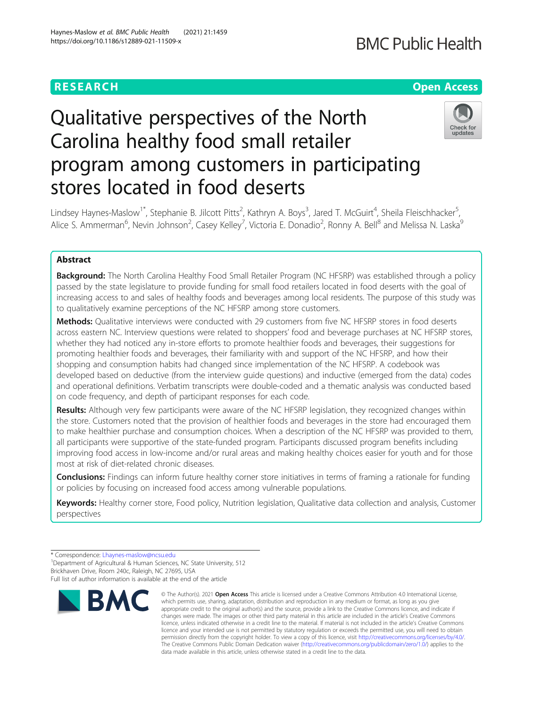## **RESEARCH CHEAR CHEAR CHEAR CHEAR CHEAR CHEAR CHEAR CHEAR CHEAR CHEAR CHEAR CHEAR CHEAR CHEAR CHEAR CHEAR CHEAR**

# Qualitative perspectives of the North Carolina healthy food small retailer program among customers in participating stores located in food deserts



Lindsey Haynes-Maslow<sup>1\*</sup>, Stephanie B. Jilcott Pitts<sup>2</sup>, Kathryn A. Boys<sup>3</sup>, Jared T. McGuirt<sup>4</sup>, Sheila Fleischhacker<sup>5</sup> , Alice S. Ammerman<sup>6</sup>, Nevin Johnson<sup>2</sup>, Casey Kelley<sup>7</sup>, Victoria E. Donadio<sup>2</sup>, Ronny A. Bell<sup>8</sup> and Melissa N. Laska<sup>s</sup>

### Abstract

**Background:** The North Carolina Healthy Food Small Retailer Program (NC HFSRP) was established through a policy passed by the state legislature to provide funding for small food retailers located in food deserts with the goal of increasing access to and sales of healthy foods and beverages among local residents. The purpose of this study was to qualitatively examine perceptions of the NC HFSRP among store customers.

Methods: Qualitative interviews were conducted with 29 customers from five NC HFSRP stores in food deserts across eastern NC. Interview questions were related to shoppers' food and beverage purchases at NC HFSRP stores, whether they had noticed any in-store efforts to promote healthier foods and beverages, their suggestions for promoting healthier foods and beverages, their familiarity with and support of the NC HFSRP, and how their shopping and consumption habits had changed since implementation of the NC HFSRP. A codebook was developed based on deductive (from the interview guide questions) and inductive (emerged from the data) codes and operational definitions. Verbatim transcripts were double-coded and a thematic analysis was conducted based on code frequency, and depth of participant responses for each code.

Results: Although very few participants were aware of the NC HFSRP legislation, they recognized changes within the store. Customers noted that the provision of healthier foods and beverages in the store had encouraged them to make healthier purchase and consumption choices. When a description of the NC HFSRP was provided to them, all participants were supportive of the state-funded program. Participants discussed program benefits including improving food access in low-income and/or rural areas and making healthy choices easier for youth and for those most at risk of diet-related chronic diseases.

Conclusions: Findings can inform future healthy corner store initiatives in terms of framing a rationale for funding or policies by focusing on increased food access among vulnerable populations.

Keywords: Healthy corner store, Food policy, Nutrition legislation, Qualitative data collection and analysis, Customer perspectives

<sup>&</sup>lt;sup>1</sup>Department of Agricultural & Human Sciences, NC State University, 512 Brickhaven Drive, Room 240c, Raleigh, NC 27695, USA Full list of author information is available at the end of the article



<sup>©</sup> The Author(s), 2021 **Open Access** This article is licensed under a Creative Commons Attribution 4.0 International License, which permits use, sharing, adaptation, distribution and reproduction in any medium or format, as long as you give appropriate credit to the original author(s) and the source, provide a link to the Creative Commons licence, and indicate if changes were made. The images or other third party material in this article are included in the article's Creative Commons licence, unless indicated otherwise in a credit line to the material. If material is not included in the article's Creative Commons licence and your intended use is not permitted by statutory regulation or exceeds the permitted use, you will need to obtain permission directly from the copyright holder. To view a copy of this licence, visit [http://creativecommons.org/licenses/by/4.0/.](http://creativecommons.org/licenses/by/4.0/) The Creative Commons Public Domain Dedication waiver [\(http://creativecommons.org/publicdomain/zero/1.0/](http://creativecommons.org/publicdomain/zero/1.0/)) applies to the data made available in this article, unless otherwise stated in a credit line to the data.

<sup>\*</sup> Correspondence: [Lhaynes-maslow@ncsu.edu](mailto:Lhaynes-maslow@ncsu.edu) <sup>1</sup>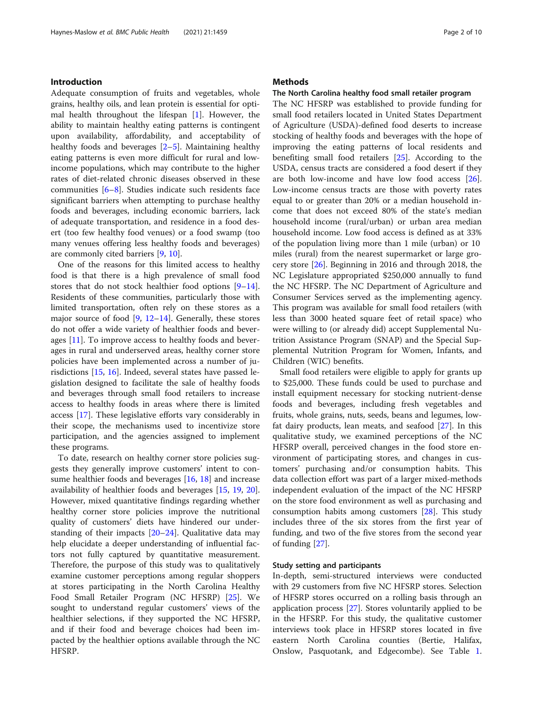#### Introduction

Adequate consumption of fruits and vegetables, whole grains, healthy oils, and lean protein is essential for optimal health throughout the lifespan [[1\]](#page-8-0). However, the ability to maintain healthy eating patterns is contingent upon availability, affordability, and acceptability of healthy foods and beverages [\[2](#page-8-0)–[5\]](#page-8-0). Maintaining healthy eating patterns is even more difficult for rural and lowincome populations, which may contribute to the higher rates of diet-related chronic diseases observed in these communities [[6](#page-8-0)–[8\]](#page-8-0). Studies indicate such residents face significant barriers when attempting to purchase healthy foods and beverages, including economic barriers, lack of adequate transportation, and residence in a food desert (too few healthy food venues) or a food swamp (too many venues offering less healthy foods and beverages) are commonly cited barriers [\[9](#page-8-0), [10](#page-8-0)].

One of the reasons for this limited access to healthy food is that there is a high prevalence of small food stores that do not stock healthier food options [[9](#page-8-0)–[14](#page-8-0)]. Residents of these communities, particularly those with limited transportation, often rely on these stores as a major source of food [[9](#page-8-0), [12](#page-8-0)–[14\]](#page-8-0). Generally, these stores do not offer a wide variety of healthier foods and beverages [\[11\]](#page-8-0). To improve access to healthy foods and beverages in rural and underserved areas, healthy corner store policies have been implemented across a number of jurisdictions [\[15](#page-8-0), [16](#page-8-0)]. Indeed, several states have passed legislation designed to facilitate the sale of healthy foods and beverages through small food retailers to increase access to healthy foods in areas where there is limited access [\[17](#page-8-0)]. These legislative efforts vary considerably in their scope, the mechanisms used to incentivize store participation, and the agencies assigned to implement these programs.

To date, research on healthy corner store policies suggests they generally improve customers' intent to consume healthier foods and beverages [[16](#page-8-0), [18](#page-8-0)] and increase availability of healthier foods and beverages [\[15](#page-8-0), [19,](#page-8-0) [20](#page-8-0)]. However, mixed quantitative findings regarding whether healthy corner store policies improve the nutritional quality of customers' diets have hindered our understanding of their impacts  $[20-24]$  $[20-24]$  $[20-24]$ . Qualitative data may help elucidate a deeper understanding of influential factors not fully captured by quantitative measurement. Therefore, the purpose of this study was to qualitatively examine customer perceptions among regular shoppers at stores participating in the North Carolina Healthy Food Small Retailer Program (NC HFSRP) [\[25\]](#page-8-0). We sought to understand regular customers' views of the healthier selections, if they supported the NC HFSRP, and if their food and beverage choices had been impacted by the healthier options available through the NC HFSRP.

#### **Methods**

#### The North Carolina healthy food small retailer program

The NC HFSRP was established to provide funding for small food retailers located in United States Department of Agriculture (USDA)-defined food deserts to increase stocking of healthy foods and beverages with the hope of improving the eating patterns of local residents and benefiting small food retailers [\[25\]](#page-8-0). According to the USDA, census tracts are considered a food desert if they are both low-income and have low food access [\[26](#page-8-0)]. Low-income census tracts are those with poverty rates equal to or greater than 20% or a median household income that does not exceed 80% of the state's median household income (rural/urban) or urban area median household income. Low food access is defined as at 33% of the population living more than 1 mile (urban) or 10 miles (rural) from the nearest supermarket or large grocery store [\[26\]](#page-8-0). Beginning in 2016 and through 2018, the NC Legislature appropriated \$250,000 annually to fund the NC HFSRP. The NC Department of Agriculture and Consumer Services served as the implementing agency. This program was available for small food retailers (with less than 3000 heated square feet of retail space) who were willing to (or already did) accept Supplemental Nutrition Assistance Program (SNAP) and the Special Supplemental Nutrition Program for Women, Infants, and Children (WIC) benefits.

Small food retailers were eligible to apply for grants up to \$25,000. These funds could be used to purchase and install equipment necessary for stocking nutrient-dense foods and beverages, including fresh vegetables and fruits, whole grains, nuts, seeds, beans and legumes, lowfat dairy products, lean meats, and seafood [\[27](#page-8-0)]. In this qualitative study, we examined perceptions of the NC HFSRP overall, perceived changes in the food store environment of participating stores, and changes in customers' purchasing and/or consumption habits. This data collection effort was part of a larger mixed-methods independent evaluation of the impact of the NC HFSRP on the store food environment as well as purchasing and consumption habits among customers [\[28\]](#page-8-0). This study includes three of the six stores from the first year of funding, and two of the five stores from the second year of funding [\[27](#page-8-0)].

#### Study setting and participants

In-depth, semi-structured interviews were conducted with 29 customers from five NC HFSRP stores. Selection of HFSRP stores occurred on a rolling basis through an application process [\[27\]](#page-8-0). Stores voluntarily applied to be in the HFSRP. For this study, the qualitative customer interviews took place in HFSRP stores located in five eastern North Carolina counties (Bertie, Halifax, Onslow, Pasquotank, and Edgecombe). See Table [1](#page-2-0).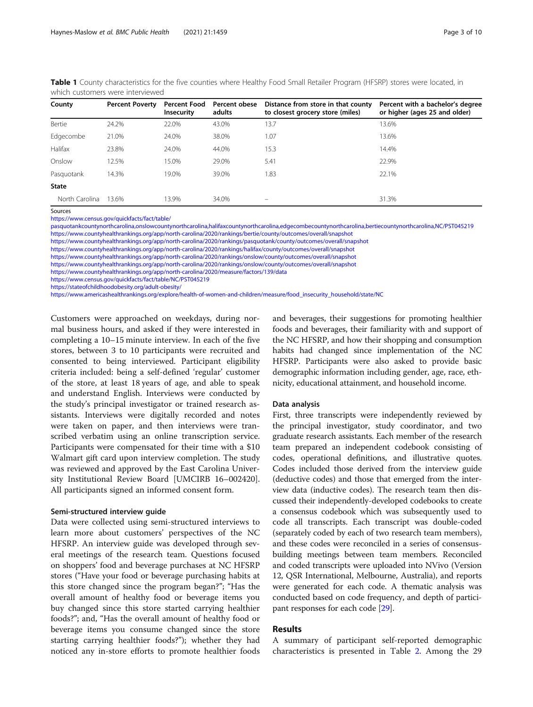| County         | <b>Percent Poverty</b> | <b>Percent Food</b><br>Insecurity | Percent obese<br>adults | Distance from store in that county<br>to closest grocery store (miles) | Percent with a bachelor's degree<br>or higher (ages 25 and older) |
|----------------|------------------------|-----------------------------------|-------------------------|------------------------------------------------------------------------|-------------------------------------------------------------------|
| Bertie         | 24.2%                  | 22.0%                             | 43.0%                   | 13.7                                                                   | 13.6%                                                             |
| Edgecombe      | 21.0%                  | 24.0%                             | 38.0%                   | 1.07                                                                   | 13.6%                                                             |
| Halifax        | 23.8%                  | 24.0%                             | 44.0%                   | 15.3                                                                   | 14.4%                                                             |
| Onslow         | 12.5%                  | 15.0%                             | 29.0%                   | 5.41                                                                   | 22.9%                                                             |
| Pasquotank     | 14.3%                  | 19.0%                             | 39.0%                   | 1.83                                                                   | 22.1%                                                             |
| <b>State</b>   |                        |                                   |                         |                                                                        |                                                                   |
| North Carolina | 13.6%                  | 13.9%                             | 34.0%                   | -                                                                      | 31.3%                                                             |

<span id="page-2-0"></span>Table 1 County characteristics for the five counties where Healthy Food Small Retailer Program (HFSRP) stores were located, in which customers were interviewed

Sources

[https://www.census.gov/quickfacts/fact/table/](https://www.census.gov/quickfacts/fact/table/pasquotankcountynorthcarolina,onslowcountynorthcarolina,halifaxcountynorthcarolina,edgecombecountynorthcarolina,bertiecountynorthcarolina,NC/PST045219)

[pasquotankcountynorthcarolina,onslowcountynorthcarolina,halifaxcountynorthcarolina,edgecombecountynorthcarolina,bertiecountynorthcarolina,NC/PST045219](https://www.census.gov/quickfacts/fact/table/pasquotankcountynorthcarolina,onslowcountynorthcarolina,halifaxcountynorthcarolina,edgecombecountynorthcarolina,bertiecountynorthcarolina,NC/PST045219) [https://www.countyhealthrankings.org/app/north-carolina/2020/rankings/bertie/county/outcomes/overall/snapshot](https://www.countyhealthrankings.org/app/north-carolina/2020/measure/factors/139/data)

[https://www.countyhealthrankings.org/app/north-carolina/2020/rankings/pasquotank/county/outcomes/overall/snapshot](https://www.countyhealthrankings.org/app/north-carolina/2020/measure/factors/139/data)

[https://www.countyhealthrankings.org/app/north-carolina/2020/rankings/halifax/county/outcomes/overall/snapshot](https://www.countyhealthrankings.org/app/north-carolina/2020/measure/factors/139/data)

[https://www.countyhealthrankings.org/app/north-carolina/2020/rankings/onslow/county/outcomes/overall/snapshot](https://www.countyhealthrankings.org/app/north-carolina/2020/measure/factors/139/data)

[https://www.countyhealthrankings.org/app/north-carolina/2020/rankings/onslow/county/outcomes/overall/snapshot](https://www.countyhealthrankings.org/app/north-carolina/2020/measure/factors/139/data)

<https://www.countyhealthrankings.org/app/north-carolina/2020/measure/factors/139/data>

<https://www.census.gov/quickfacts/fact/table/NC/PST045219>

<https://stateofchildhoodobesity.org/adult-obesity/>

[https://www.americashealthrankings.org/explore/health-of-women-and-children/measure/food\\_insecurity\\_household/state/NC](https://www.americashealthrankings.org/explore/health-of-women-and-children/measure/food_insecurity_household/state/NC)

Customers were approached on weekdays, during normal business hours, and asked if they were interested in completing a 10–15 minute interview. In each of the five stores, between 3 to 10 participants were recruited and consented to being interviewed. Participant eligibility criteria included: being a self-defined 'regular' customer of the store, at least 18 years of age, and able to speak and understand English. Interviews were conducted by the study's principal investigator or trained research assistants. Interviews were digitally recorded and notes were taken on paper, and then interviews were transcribed verbatim using an online transcription service. Participants were compensated for their time with a \$10 Walmart gift card upon interview completion. The study was reviewed and approved by the East Carolina University Institutional Review Board [UMCIRB 16–002420]. All participants signed an informed consent form.

#### Semi-structured interview guide

Data were collected using semi-structured interviews to learn more about customers' perspectives of the NC HFSRP. An interview guide was developed through several meetings of the research team. Questions focused on shoppers' food and beverage purchases at NC HFSRP stores ("Have your food or beverage purchasing habits at this store changed since the program began?"; "Has the overall amount of healthy food or beverage items you buy changed since this store started carrying healthier foods?"; and, "Has the overall amount of healthy food or beverage items you consume changed since the store starting carrying healthier foods?"); whether they had noticed any in-store efforts to promote healthier foods and beverages, their suggestions for promoting healthier foods and beverages, their familiarity with and support of the NC HFSRP, and how their shopping and consumption habits had changed since implementation of the NC HFSRP. Participants were also asked to provide basic demographic information including gender, age, race, ethnicity, educational attainment, and household income.

#### Data analysis

First, three transcripts were independently reviewed by the principal investigator, study coordinator, and two graduate research assistants. Each member of the research team prepared an independent codebook consisting of codes, operational definitions, and illustrative quotes. Codes included those derived from the interview guide (deductive codes) and those that emerged from the interview data (inductive codes). The research team then discussed their independently-developed codebooks to create a consensus codebook which was subsequently used to code all transcripts. Each transcript was double-coded (separately coded by each of two research team members), and these codes were reconciled in a series of consensusbuilding meetings between team members. Reconciled and coded transcripts were uploaded into NVivo (Version 12, QSR International, Melbourne, Australia), and reports were generated for each code. A thematic analysis was conducted based on code frequency, and depth of participant responses for each code [\[29\]](#page-8-0).

#### Results

A summary of participant self-reported demographic characteristics is presented in Table [2.](#page-3-0) Among the 29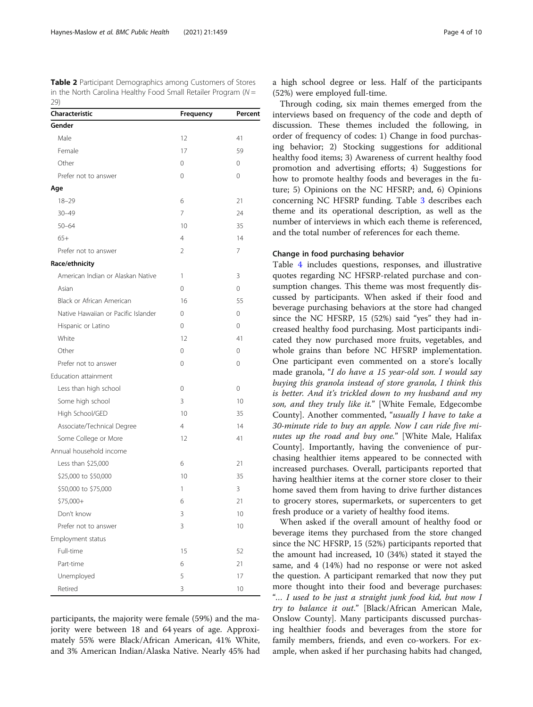<span id="page-3-0"></span>Table 2 Participant Demographics among Customers of Stores in the North Carolina Healthy Food Small Retailer Program ( $N =$  $29)$ 

| Characteristic                      | Frequency      | Percent  |
|-------------------------------------|----------------|----------|
| Gender                              |                |          |
| Male                                | 12             | 41       |
| Female                              | 17             | 59       |
| Other                               | 0              | 0        |
| Prefer not to answer                | $\Omega$       | $\Omega$ |
| Age                                 |                |          |
| $18 - 29$                           | 6              | 21       |
| $30 - 49$                           | 7              | 24       |
| $50 - 64$                           | 10             | 35       |
| $65+$                               | 4              | 14       |
| Prefer not to answer                | 2              | 7        |
| Race/ethnicity                      |                |          |
| American Indian or Alaskan Native   | 1              | 3        |
| Asian                               | $\Omega$       | $\Omega$ |
| Black or African American           | 16             | 55       |
| Native Hawaiian or Pacific Islander | 0              | 0        |
| Hispanic or Latino                  | $\Omega$       | $\Omega$ |
| White                               | 12             | 41       |
| Other                               | 0              | 0        |
| Prefer not to answer                | 0              | 0        |
| Education attainment                |                |          |
| Less than high school               | 0              | 0        |
| Some high school                    | 3              | 10       |
| High School/GED                     | 10             | 35       |
| Associate/Technical Degree          | $\overline{4}$ | 14       |
| Some College or More                | 12             | 41       |
| Annual household income             |                |          |
| Less than \$25,000                  | 6              | 21       |
| \$25,000 to \$50,000                | 10             | 35       |
| \$50,000 to \$75,000                | 1              | 3        |
| \$75,000+                           | 6              | 21       |
| Don't know                          | 3              | 10       |
| Prefer not to answer                | 3              | 10       |
| Employment status                   |                |          |
| Full-time                           | 15             | 52       |
| Part-time                           | 6              | 21       |
| Unemployed                          | 5              | 17       |
| Retired                             | 3              | 10       |

participants, the majority were female (59%) and the majority were between 18 and 64 years of age. Approximately 55% were Black/African American, 41% White, and 3% American Indian/Alaska Native. Nearly 45% had a high school degree or less. Half of the participants (52%) were employed full-time.

Through coding, six main themes emerged from the interviews based on frequency of the code and depth of discussion. These themes included the following, in order of frequency of codes: 1) Change in food purchasing behavior; 2) Stocking suggestions for additional healthy food items; 3) Awareness of current healthy food promotion and advertising efforts; 4) Suggestions for how to promote healthy foods and beverages in the future; 5) Opinions on the NC HFSRP; and, 6) Opinions concerning NC HFSRP funding. Table [3](#page-4-0) describes each theme and its operational description, as well as the number of interviews in which each theme is referenced, and the total number of references for each theme.

#### Change in food purchasing behavior

Table [4](#page-4-0) includes questions, responses, and illustrative quotes regarding NC HFSRP-related purchase and consumption changes. This theme was most frequently discussed by participants. When asked if their food and beverage purchasing behaviors at the store had changed since the NC HFSRP, 15 (52%) said "yes" they had increased healthy food purchasing. Most participants indicated they now purchased more fruits, vegetables, and whole grains than before NC HFSRP implementation. One participant even commented on a store's locally made granola, "I do have a 15 year-old son. I would say buying this granola instead of store granola, I think this is better. And it's trickled down to my husband and my son, and they truly like it." [White Female, Edgecombe County]. Another commented, "usually I have to take a 30-minute ride to buy an apple. Now I can ride five minutes up the road and buy one." [White Male, Halifax County]. Importantly, having the convenience of purchasing healthier items appeared to be connected with increased purchases. Overall, participants reported that having healthier items at the corner store closer to their home saved them from having to drive further distances to grocery stores, supermarkets, or supercenters to get fresh produce or a variety of healthy food items.

When asked if the overall amount of healthy food or beverage items they purchased from the store changed since the NC HFSRP, 15 (52%) participants reported that the amount had increased, 10 (34%) stated it stayed the same, and 4 (14%) had no response or were not asked the question. A participant remarked that now they put more thought into their food and beverage purchases: "… I used to be just a straight junk food kid, but now I try to balance it out." [Black/African American Male, Onslow County]. Many participants discussed purchasing healthier foods and beverages from the store for family members, friends, and even co-workers. For example, when asked if her purchasing habits had changed,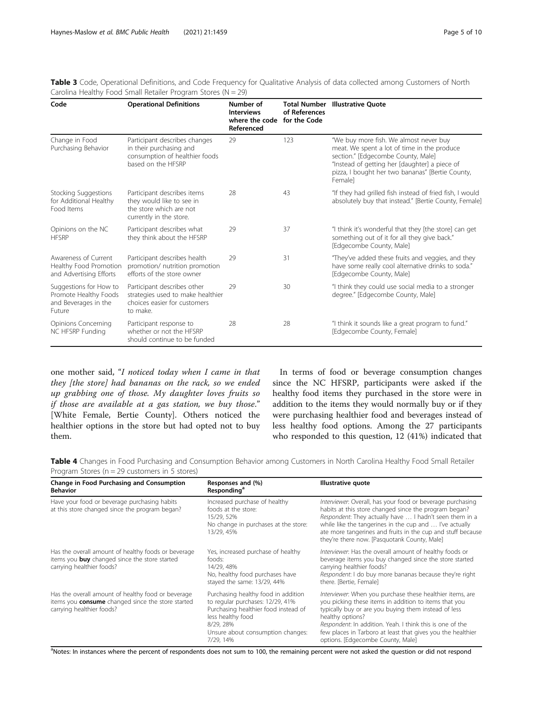<span id="page-4-0"></span>

| Table 3 Code, Operational Definitions, and Code Frequency for Qualitative Analysis of data collected among Customers of North |  |  |  |  |
|-------------------------------------------------------------------------------------------------------------------------------|--|--|--|--|
| Carolina Healthy Food Small Retailer Program Stores ( $N = 29$ )                                                              |  |  |  |  |

| Code                                                                              | <b>Operational Definitions</b>                                                                                   | Number of<br><b>Interviews</b><br>where the code<br>Referenced | <b>Total Number</b><br>of References<br>for the Code | <b>Illustrative Ouote</b>                                                                                                                                                                                                                   |
|-----------------------------------------------------------------------------------|------------------------------------------------------------------------------------------------------------------|----------------------------------------------------------------|------------------------------------------------------|---------------------------------------------------------------------------------------------------------------------------------------------------------------------------------------------------------------------------------------------|
| Change in Food<br>Purchasing Behavior                                             | Participant describes changes<br>in their purchasing and<br>consumption of healthier foods<br>based on the HESRP | 29                                                             | 123                                                  | "We buy more fish. We almost never buy<br>meat. We spent a lot of time in the produce<br>section." [Edgecombe County, Male]<br>"Instead of getting her [daughter] a piece of<br>pizza, I bought her two bananas" [Bertie County,<br>Femalel |
| Stocking Suggestions<br>for Additional Healthy<br>Food Items                      | Participant describes items<br>they would like to see in<br>the store which are not<br>currently in the store.   | 28                                                             | 43                                                   | "If they had grilled fish instead of fried fish, I would<br>absolutely buy that instead." [Bertie County, Female]                                                                                                                           |
| Opinions on the NC<br><b>HFSRP</b>                                                | Participant describes what<br>they think about the HFSRP                                                         | 29                                                             | 37                                                   | "I think it's wonderful that they [the store] can get<br>something out of it for all they give back."<br>[Edgecombe County, Male]                                                                                                           |
| Awareness of Current<br>Healthy Food Promotion<br>and Advertising Efforts         | Participant describes health<br>promotion/ nutrition promotion<br>efforts of the store owner                     | 29                                                             | 31                                                   | "They've added these fruits and veggies, and they<br>have some really cool alternative drinks to soda."<br>[Edgecombe County, Male]                                                                                                         |
| Suggestions for How to<br>Promote Healthy Foods<br>and Beverages in the<br>Future | Participant describes other<br>strategies used to make healthier<br>choices easier for customers<br>to make.     | 29                                                             | 30                                                   | "I think they could use social media to a stronger<br>degree." [Edgecombe County, Male]                                                                                                                                                     |
| Opinions Concerning<br>NC HFSRP Funding                                           | Participant response to<br>whether or not the HESRP<br>should continue to be funded                              | 28                                                             | 28                                                   | "I think it sounds like a great program to fund."<br>[Edgecombe County, Female]                                                                                                                                                             |

one mother said, "I noticed today when I came in that they [the store] had bananas on the rack, so we ended up grabbing one of those. My daughter loves fruits so if those are available at a gas station, we buy those." [White Female, Bertie County]. Others noticed the healthier options in the store but had opted not to buy them.

In terms of food or beverage consumption changes since the NC HFSRP, participants were asked if the healthy food items they purchased in the store were in addition to the items they would normally buy or if they were purchasing healthier food and beverages instead of less healthy food options. Among the 27 participants who responded to this question, 12 (41%) indicated that

Table 4 Changes in Food Purchasing and Consumption Behavior among Customers in North Carolina Healthy Food Small Retailer Program Stores (n = 29 customers in 5 stores)

| Change in Food Purchasing and Consumption<br><b>Behavior</b>                                                                                | Responses and (%)<br>Responding <sup>a</sup>                                                                                                                                                        | Illustrative quote                                                                                                                                                                                                                                                                                                                                              |
|---------------------------------------------------------------------------------------------------------------------------------------------|-----------------------------------------------------------------------------------------------------------------------------------------------------------------------------------------------------|-----------------------------------------------------------------------------------------------------------------------------------------------------------------------------------------------------------------------------------------------------------------------------------------------------------------------------------------------------------------|
| Have your food or beverage purchasing habits<br>at this store changed since the program began?                                              | Increased purchase of healthy<br>foods at the store:<br>15/29, 52%<br>No change in purchases at the store:<br>13/29, 45%                                                                            | Interviewer: Overall, has your food or beverage purchasing<br>habits at this store changed since the program began?<br>Respondent: They actually have  I hadn't seen them in a<br>while like the tangerines in the cup and  I've actually<br>ate more tangerines and fruits in the cup and stuff because<br>they're there now. [Pasquotank County, Male]        |
| Has the overall amount of healthy foods or beverage<br>items you <b>buy</b> changed since the store started<br>carrying healthier foods?    | Yes, increased purchase of healthy<br>foods:<br>14/29, 48%<br>No, healthy food purchases have<br>stayed the same: 13/29, 44%                                                                        | Interviewer: Has the overall amount of healthy foods or<br>beverage items you buy changed since the store started<br>carrying healthier foods?<br>Respondent: I do buy more bananas because they're right<br>there. [Bertie, Female]                                                                                                                            |
| Has the overall amount of healthy food or beverage<br>items you <b>consume</b> changed since the store started<br>carrying healthier foods? | Purchasing healthy food in addition<br>to regular purchases: 12/29, 41%<br>Purchasing healthier food instead of<br>less healthy food<br>8/29, 28%<br>Unsure about consumption changes:<br>7/29, 14% | Interviewer: When you purchase these healthier items, are<br>you picking these items in addition to items that you<br>typically buy or are you buying them instead of less<br>healthy options?<br>Respondent: In addition. Yeah. I think this is one of the<br>few places in Tarboro at least that gives you the healthier<br>options. [Edgecombe County, Male] |

<sup>a</sup>Notes: In instances where the percent of respondents does not sum to 100, the remaining percent were not asked the question or did not respond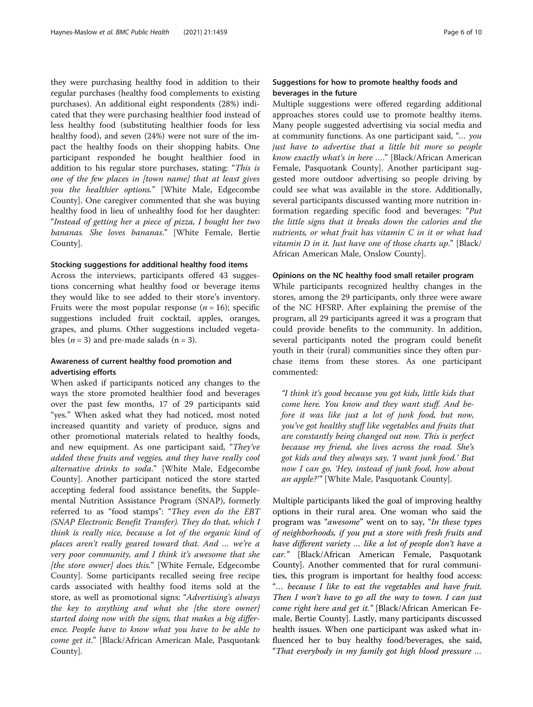they were purchasing healthy food in addition to their regular purchases (healthy food complements to existing purchases). An additional eight respondents (28%) indicated that they were purchasing healthier food instead of less healthy food (substituting healthier foods for less healthy food), and seven (24%) were not sure of the impact the healthy foods on their shopping habits. One participant responded he bought healthier food in addition to his regular store purchases, stating: "This is one of the few places in [town name] that at least gives you the healthier options." [White Male, Edgecombe County]. One caregiver commented that she was buying healthy food in lieu of unhealthy food for her daughter: "Instead of getting her a piece of pizza, I bought her two bananas. She loves bananas." [White Female, Bertie County].

#### Stocking suggestions for additional healthy food items

Across the interviews, participants offered 43 suggestions concerning what healthy food or beverage items they would like to see added to their store's inventory. Fruits were the most popular response  $(n = 16)$ ; specific suggestions included fruit cocktail, apples, oranges, grapes, and plums. Other suggestions included vegetables ( $n = 3$ ) and pre-made salads ( $n = 3$ ).

#### Awareness of current healthy food promotion and advertising efforts

When asked if participants noticed any changes to the ways the store promoted healthier food and beverages over the past few months, 17 of 29 participants said "yes." When asked what they had noticed, most noted increased quantity and variety of produce, signs and other promotional materials related to healthy foods, and new equipment. As one participant said, "They've added these fruits and veggies, and they have really cool alternative drinks to soda." [White Male, Edgecombe County]. Another participant noticed the store started accepting federal food assistance benefits, the Supplemental Nutrition Assistance Program (SNAP), formerly referred to as "food stamps": "They even do the EBT (SNAP Electronic Benefit Transfer). They do that, which I think is really nice, because a lot of the organic kind of places aren't really geared toward that. And … we're a very poor community, and I think it's awesome that she [the store owner] does this." [White Female, Edgecombe County]. Some participants recalled seeing free recipe cards associated with healthy food items sold at the store, as well as promotional signs: "Advertising's always the key to anything and what she [the store owner] started doing now with the signs, that makes a big difference. People have to know what you have to be able to come get it." [Black/African American Male, Pasquotank County].

#### Suggestions for how to promote healthy foods and beverages in the future

Multiple suggestions were offered regarding additional approaches stores could use to promote healthy items. Many people suggested advertising via social media and at community functions. As one participant said, "… you just have to advertise that a little bit more so people know exactly what's in here …." [Black/African American Female, Pasquotank County]. Another participant suggested more outdoor advertising so people driving by could see what was available in the store. Additionally, several participants discussed wanting more nutrition information regarding specific food and beverages: "Put the little signs that it breaks down the calories and the nutrients, or what fruit has vitamin C in it or what had vitamin D in it. Just have one of those charts up." [Black/ African American Male, Onslow County].

#### Opinions on the NC healthy food small retailer program

While participants recognized healthy changes in the stores, among the 29 participants, only three were aware of the NC HFSRP. After explaining the premise of the program, all 29 participants agreed it was a program that could provide benefits to the community. In addition, several participants noted the program could benefit youth in their (rural) communities since they often purchase items from these stores. As one participant commented:

"I think it's good because you got kids, little kids that come here. You know and they want stuff. And before it was like just a lot of junk food, but now, you've got healthy stuff like vegetables and fruits that are constantly being changed out now. This is perfect because my friend, she lives across the road. She's got kids and they always say, 'I want junk food.' But now I can go, 'Hey, instead of junk food, how about an apple?'" [White Male, Pasquotank County].

Multiple participants liked the goal of improving healthy options in their rural area. One woman who said the program was "awesome" went on to say, "In these types of neighborhoods, if you put a store with fresh fruits and have different variety … like a lot of people don't have a car." [Black/African American Female, Pasquotank County]. Another commented that for rural communities, this program is important for healthy food access: "… because I like to eat the vegetables and have fruit. Then I won't have to go all the way to town. I can just come right here and get it." [Black/African American Female, Bertie County]. Lastly, many participants discussed health issues. When one participant was asked what influenced her to buy healthy food/beverages, she said, "That everybody in my family got high blood pressure …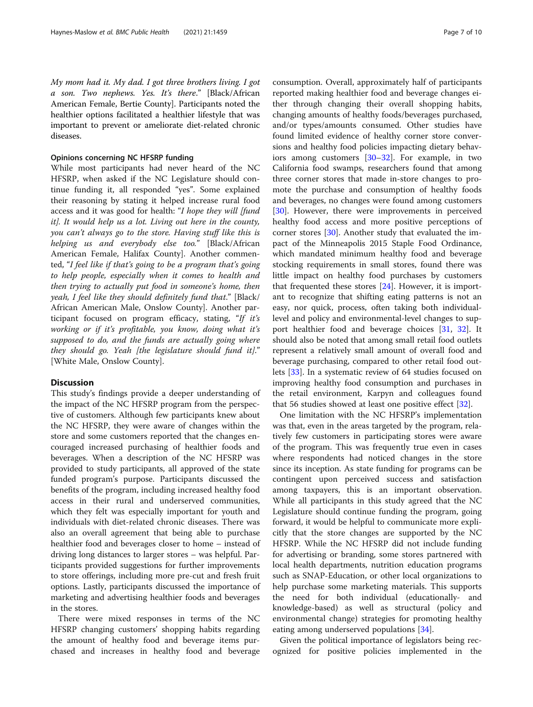My mom had it. My dad. I got three brothers living. I got a son. Two nephews. Yes. It's there." [Black/African American Female, Bertie County]. Participants noted the healthier options facilitated a healthier lifestyle that was important to prevent or ameliorate diet-related chronic diseases.

#### Opinions concerning NC HFSRP funding

While most participants had never heard of the NC HFSRP, when asked if the NC Legislature should continue funding it, all responded "yes". Some explained their reasoning by stating it helped increase rural food access and it was good for health: "I hope they will [fund it]. It would help us a lot. Living out here in the county, you can't always go to the store. Having stuff like this is helping us and everybody else too." [Black/African American Female, Halifax County]. Another commented, "I feel like if that's going to be a program that's going to help people, especially when it comes to health and then trying to actually put food in someone's home, then yeah, I feel like they should definitely fund that." [Black/ African American Male, Onslow County]. Another participant focused on program efficacy, stating, "If it's working or if it's profitable, you know, doing what it's supposed to do, and the funds are actually going where they should go. Yeah [the legislature should fund it]." [White Male, Onslow County].

#### **Discussion**

This study's findings provide a deeper understanding of the impact of the NC HFSRP program from the perspective of customers. Although few participants knew about the NC HFSRP, they were aware of changes within the store and some customers reported that the changes encouraged increased purchasing of healthier foods and beverages. When a description of the NC HFSRP was provided to study participants, all approved of the state funded program's purpose. Participants discussed the benefits of the program, including increased healthy food access in their rural and underserved communities, which they felt was especially important for youth and individuals with diet-related chronic diseases. There was also an overall agreement that being able to purchase healthier food and beverages closer to home – instead of driving long distances to larger stores – was helpful. Participants provided suggestions for further improvements to store offerings, including more pre-cut and fresh fruit options. Lastly, participants discussed the importance of marketing and advertising healthier foods and beverages in the stores.

There were mixed responses in terms of the NC HFSRP changing customers' shopping habits regarding the amount of healthy food and beverage items purchased and increases in healthy food and beverage consumption. Overall, approximately half of participants reported making healthier food and beverage changes either through changing their overall shopping habits, changing amounts of healthy foods/beverages purchased, and/or types/amounts consumed. Other studies have found limited evidence of healthy corner store conversions and healthy food policies impacting dietary behaviors among customers [[30](#page-8-0)–[32](#page-8-0)]. For example, in two California food swamps, researchers found that among three corner stores that made in-store changes to promote the purchase and consumption of healthy foods and beverages, no changes were found among customers [[30\]](#page-8-0). However, there were improvements in perceived healthy food access and more positive perceptions of corner stores [\[30](#page-8-0)]. Another study that evaluated the impact of the Minneapolis 2015 Staple Food Ordinance, which mandated minimum healthy food and beverage stocking requirements in small stores, found there was little impact on healthy food purchases by customers that frequented these stores  $[24]$ . However, it is important to recognize that shifting eating patterns is not an easy, nor quick, process, often taking both individuallevel and policy and environmental-level changes to support healthier food and beverage choices [[31,](#page-8-0) [32](#page-8-0)]. It should also be noted that among small retail food outlets represent a relatively small amount of overall food and beverage purchasing, compared to other retail food outlets [[33\]](#page-9-0). In a systematic review of 64 studies focused on improving healthy food consumption and purchases in the retail environment, Karpyn and colleagues found that 56 studies showed at least one positive effect [\[32](#page-8-0)].

One limitation with the NC HFSRP's implementation was that, even in the areas targeted by the program, relatively few customers in participating stores were aware of the program. This was frequently true even in cases where respondents had noticed changes in the store since its inception. As state funding for programs can be contingent upon perceived success and satisfaction among taxpayers, this is an important observation. While all participants in this study agreed that the NC Legislature should continue funding the program, going forward, it would be helpful to communicate more explicitly that the store changes are supported by the NC HFSRP. While the NC HFSRP did not include funding for advertising or branding, some stores partnered with local health departments, nutrition education programs such as SNAP-Education, or other local organizations to help purchase some marketing materials. This supports the need for both individual (educationally- and knowledge-based) as well as structural (policy and environmental change) strategies for promoting healthy eating among underserved populations [[34\]](#page-9-0).

Given the political importance of legislators being recognized for positive policies implemented in the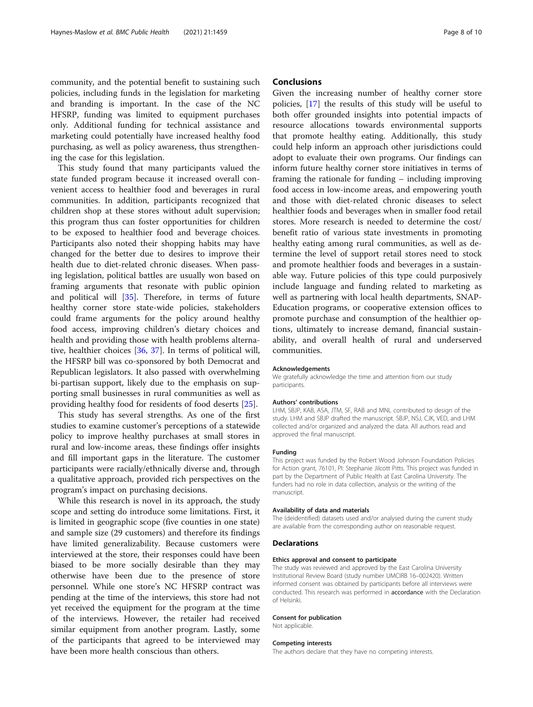community, and the potential benefit to sustaining such policies, including funds in the legislation for marketing and branding is important. In the case of the NC HFSRP, funding was limited to equipment purchases only. Additional funding for technical assistance and marketing could potentially have increased healthy food purchasing, as well as policy awareness, thus strengthening the case for this legislation.

This study found that many participants valued the state funded program because it increased overall convenient access to healthier food and beverages in rural communities. In addition, participants recognized that children shop at these stores without adult supervision; this program thus can foster opportunities for children to be exposed to healthier food and beverage choices. Participants also noted their shopping habits may have changed for the better due to desires to improve their health due to diet-related chronic diseases. When passing legislation, political battles are usually won based on framing arguments that resonate with public opinion and political will [[35](#page-9-0)]. Therefore, in terms of future healthy corner store state-wide policies, stakeholders could frame arguments for the policy around healthy food access, improving children's dietary choices and health and providing those with health problems alternative, healthier choices [\[36,](#page-9-0) [37](#page-9-0)]. In terms of political will, the HFSRP bill was co-sponsored by both Democrat and Republican legislators. It also passed with overwhelming bi-partisan support, likely due to the emphasis on supporting small businesses in rural communities as well as providing healthy food for residents of food deserts [[25\]](#page-8-0).

This study has several strengths. As one of the first studies to examine customer's perceptions of a statewide policy to improve healthy purchases at small stores in rural and low-income areas, these findings offer insights and fill important gaps in the literature. The customer participants were racially/ethnically diverse and, through a qualitative approach, provided rich perspectives on the program's impact on purchasing decisions.

While this research is novel in its approach, the study scope and setting do introduce some limitations. First, it is limited in geographic scope (five counties in one state) and sample size (29 customers) and therefore its findings have limited generalizability. Because customers were interviewed at the store, their responses could have been biased to be more socially desirable than they may otherwise have been due to the presence of store personnel. While one store's NC HFSRP contract was pending at the time of the interviews, this store had not yet received the equipment for the program at the time of the interviews. However, the retailer had received similar equipment from another program. Lastly, some of the participants that agreed to be interviewed may have been more health conscious than others.

#### **Conclusions**

Given the increasing number of healthy corner store policies, [\[17\]](#page-8-0) the results of this study will be useful to both offer grounded insights into potential impacts of resource allocations towards environmental supports that promote healthy eating. Additionally, this study could help inform an approach other jurisdictions could adopt to evaluate their own programs. Our findings can inform future healthy corner store initiatives in terms of framing the rationale for funding – including improving food access in low-income areas, and empowering youth and those with diet-related chronic diseases to select healthier foods and beverages when in smaller food retail stores. More research is needed to determine the cost/ benefit ratio of various state investments in promoting healthy eating among rural communities, as well as determine the level of support retail stores need to stock and promote healthier foods and beverages in a sustainable way. Future policies of this type could purposively include language and funding related to marketing as well as partnering with local health departments, SNAP-Education programs, or cooperative extension offices to promote purchase and consumption of the healthier options, ultimately to increase demand, financial sustainability, and overall health of rural and underserved communities.

#### Acknowledgements

We gratefully acknowledge the time and attention from our study participants.

#### Authors' contributions

LHM, SBJP, KAB, ASA, JTM, SF, RAB and MNL contributed to design of the study. LHM and SBJP drafted the manuscript. SBJP, NSJ, CJK, VED, and LHM collected and/or organized and analyzed the data. All authors read and approved the final manuscript.

#### Funding

This project was funded by the Robert Wood Johnson Foundation Policies for Action grant, 76101, PI: Stephanie Jilcott Pitts. This project was funded in part by the Department of Public Health at East Carolina University. The funders had no role in data collection, analysis or the writing of the manuscript.

#### Availability of data and materials

The (deidentified) datasets used and/or analysed during the current study are available from the corresponding author on reasonable request.

#### Declarations

#### Ethics approval and consent to participate

The study was reviewed and approved by the East Carolina University Institutional Review Board (study number UMCIRB 16–002420). Written informed consent was obtained by participants before all interviews were conducted. This research was performed in accordance with the Declaration of Helsinki.

#### Consent for publication

Not applicable.

#### Competing interests

The authors declare that they have no competing interests.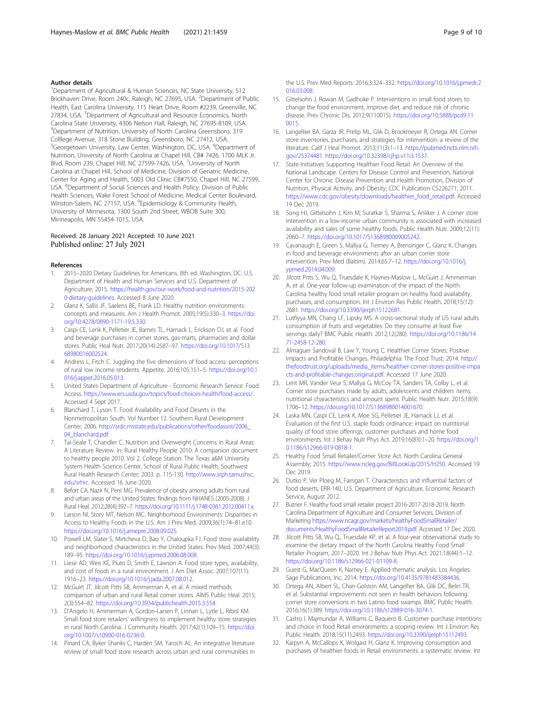#### <span id="page-8-0"></span>Author details

<sup>1</sup>Department of Agricultural & Human Sciences, NC State University, 512 Brickhaven Drive, Room 240c, Raleigh, NC 27695, USA. <sup>2</sup>Department of Public Health, East Carolina University, 115 Heart Drive, Room #2239, Greenville, NC 27834, USA. <sup>3</sup>Department of Agricultural and Resource Economics, North Carolina State University, 4306 Nelson Hall, Raleigh, NC 27695-8109, USA. 4 Department of Nutrition, University of North Carolina Greensboro, 319 Colllege Avenue, 318 Stone Building, Greensboro, NC 27412, USA. <sup>5</sup>Georgetown University, Law Center, Washington, DC, USA. <sup>6</sup>Department of Nutrition, University of North Carolina at Chapel Hill, CB# 7426, 1700 MLK Jr. Blvd, Room 239, Chapel Hill, NC 27599-7426, USA. <sup>7</sup>University of North Carolina at Chapel Hill, School of Medicine, Division of Geriatric Medicine, Center for Aging and Health, 5003 Old Clinic CB#7550, Chapel Hill, NC 27599, USA. <sup>8</sup>Department of Social Sciences and Health Policy, Division of Public Health Sciences, Wake Forest School of Medicine, Medical Center Boulevard, Winston-Salem, NC 27157, USA. <sup>9</sup>Epidemiology & Community Health, University of Minnesota, 1300 South 2nd Street, WBOB Suite 300, Minneapolis, MN 55454-1015, USA.

#### Received: 28 January 2021 Accepted: 10 June 2021 Published online: 27 July 2021

#### References

- 1. 2015–2020 Dietary Guidelines for Americans. 8th ed. Washington, DC: U.S. Department of Health and Human Services and U.S. Department of Agriculture; 2015. [https://health.gov/our-work/food-and-nutrition/2015-202](https://health.gov/our-work/food-and-nutrition/2015-2020-dietary-guidelines) [0-dietary-guidelines.](https://health.gov/our-work/food-and-nutrition/2015-2020-dietary-guidelines) Accessed 8 June 2020.
- 2. Glanz K, Sallis JF, Saelens BE, Frank LD. Healthy nutrition environments: concepts and measures. Am J Health Promot. 2005;19(5):330–3. [https://doi.](https://doi.org/10.4278/0890-1171-19.5.330) [org/10.4278/0890-1171-19.5.330](https://doi.org/10.4278/0890-1171-19.5.330).
- 3. Caspi CE, Lenk K, Pelletier JE, Barnes TL, Harnack L, Erickson DJ, et al. Food and beverage purchases in corner stores, gas-marts, pharmacies and dollar stores. Public Heal Nutr. 2017;20(14):2587–97. [https://doi.org/10.1017/S13](https://doi.org/10.1017/S1368980016002524) [68980016002524](https://doi.org/10.1017/S1368980016002524).
- 4. Andress L, Fitch C. Juggling the five dimensions of food access: perceptions of rural low income residents. Appetite. 2016;105:151–5. [https://doi.org/10.1](https://doi.org/10.1016/j.appet.2016.05.013) [016/j.appet.2016.05.013.](https://doi.org/10.1016/j.appet.2016.05.013)
- 5. United States Department of Agriculture Economic Research Service. Food Access. [https://www.ers.usda.gov/topics/food-choices-health/food-access/.](https://www.ers.usda.gov/topics/food-choices-health/food-access/) Accessed 4 Sept 2017.
- 6. Blanchard T, Lyson T. Food Availability and Food Deserts in the Nonmetropolitan South. Vol Number 12. Southern Rural Development Center; 2006. [http://srdc.msstate.edu/publications/other/foodassist/2006\\_](http://srdc.msstate.edu/publications/other/foodassist/2006_04_blanchard.pdf) [04\\_blanchard.pdf](http://srdc.msstate.edu/publications/other/foodassist/2006_04_blanchard.pdf).
- Tai-Seale T, Chandler C. Nutrition and Overweight Concerns in Rural Areas: A Literature Review. In: Rural Healthy People 2010: A companion document to healthy people 2010. Vol 2. College Station: The Texas a&M University System Health Science Center, School of Rural Public Health, Southwest Rural Health Research Center; 2003. p. 115-130. [http://www.srph.tamushsc.](http://www.srph.tamushsc.edu/srhrc) [edu/srhrc.](http://www.srph.tamushsc.edu/srhrc) Accessed 16 June 2020.
- 8. Befort CA, Nazir N, Perri MG. Prevalence of obesity among adults from rural and urban areas of the United States: findings from NHANES (2005-2008). J Rural Heal. 2012;28(4):392–7. <https://doi.org/10.1111/j.1748-0361.2012.00411.x>.
- 9. Larson NI, Story MT, Nelson MC. Neighborhood Environments: Disparities in Access to Healthy Foods in the U.S. Am J Prev Med. 2009;36(1):74–81.e10. [https://doi.org/10.1016/j.amepre.2008.09.025.](https://doi.org/10.1016/j.amepre.2008.09.025)
- 10. Powell LM, Slater S, Mirtcheva D, Bao Y, Chaloupka FJ. Food store availability and neighborhood characteristics in the United States. Prev Med. 2007;44(3): 189–95. [https://doi.org/10.1016/j.ypmed.2006.08.008.](https://doi.org/10.1016/j.ypmed.2006.08.008)
- 11. Liese AD, Weis KE, Pluto D, Smith E, Lawson A. Food store types, availability, and cost of foods in a rural environment. J Am Diet Assoc. 2007;107(11): 1916–23. [https://doi.org/10.1016/j.jada.2007.08.012.](https://doi.org/10.1016/j.jada.2007.08.012)
- 12. McGuirt JT, Jilcott Pitts SB, Ammerman A, et al. A mixed methods comparison of urban and rural Retail corner stores. AIMS Public Heal. 2015; 2(3):554–82. [https://doi.org/10.3934/publichealth.2015.3.554.](https://doi.org/10.3934/publichealth.2015.3.554)
- 13. D'Angelo H, Ammerman A, Gordon-Larsen P, Linnan L, Lytle L, Ribisl KM. Small food store retailers' willingness to implement healthy store strategies in rural North Carolina. J Community Health. 2017;42(1):109–15. [https://doi.](https://doi.org/10.1007/s10900-016-0236-0) [org/10.1007/s10900-016-0236-0](https://doi.org/10.1007/s10900-016-0236-0).
- 14. Pinard CA, Byker Shanks C, Harden SM, Yaroch AL. An integrative literature review of small food store research across urban and rural communities in

the U.S. Prev Med Reports. 2016;3:324–332. [https://doi.org/10.1016/j.pmedr.2](https://doi.org/10.1016/j.pmedr.2016.03.008) [016.03.008](https://doi.org/10.1016/j.pmedr.2016.03.008).

- 15. Gittelsohn J, Rowan M, Gadhoke P. Interventions in small food stores to change the food environment, improve diet, and reduce risk of chronic disease. Prev Chronic Dis. 2012;9(110015). [https://doi.org/10.5888/pcd9.11](https://doi.org/10.5888/pcd9.110015) [0015](https://doi.org/10.5888/pcd9.110015).
- 16. Langellier BA, Garza JR, Prelip ML, Glik D, Brookmeyer R, Ortega AN. Corner store inventories, purchases, and strategies for intervention: a review of the literature. Calif J Heal Promot. 2013;11(3):1–13. [https://pubmed.ncbi.nlm.nih.](https://pubmed.ncbi.nlm.nih.gov/25374481) [gov/25374481](https://pubmed.ncbi.nlm.nih.gov/25374481). <https://doi.org/10.32398/cjhp.v11i3.1537>.
- 17. State Initiatives Supporting Healthier Food Retail: An Overview of the National Landscape. Centers for Disease Control and Prevention, National Center for Chronic Disease Prevention and Health Promotion, Division of Nutrition, Physical Activity, and Obesity; CDC Publication CS226271; 2011. [https://www.cdc.gov/obesity/downloads/healthier\\_food\\_retail.pdf.](https://www.cdc.gov/obesity/downloads/healthier_food_retail.pdf) Accessed 19 Dec 2019.
- 18. Song HJ, Gittelsohn J, Kim M, Suratkar S, Sharma S, Anliker J. A corner store intervention in a low-income urban community is associated with increased availability and sales of some healthy foods. Public Health Nutr. 2009;12(11): 2060–7. [https://doi.org/10.1017/S1368980009005242.](https://doi.org/10.1017/S1368980009005242)
- 19. Cavanaugh E, Green S, Mallya G, Tierney A, Brensinger C, Glanz K. Changes in food and beverage environments after an urban corner store intervention. Prev Med (Baltim). 2014;65:7–12. [https://doi.org/10.1016/j.](https://doi.org/10.1016/j.ypmed.2014.04.009) [ypmed.2014.04.009](https://doi.org/10.1016/j.ypmed.2014.04.009).
- 20. Jilcott Pitts S, Wu Q, Truesdale K, Haynes-Maslow L, McGuirt J, Ammerman A, et al. One-year follow-up examination of the impact of the North Carolina healthy food small retailer program on healthy food availability, purchases, and consumption. Int J Environ Res Public Health. 2018;15(12): 2681. <https://doi.org/10.3390/ijerph15122681>.
- 21. Lutfiyya MN, Chang LF, Lipsky MS. A cross-sectional study of US rural adults consumption of fruits and vegetables: Do they consume at least five servings daily? BMC Public Health. 2012;12(280). [https://doi.org/10.1186/14](https://doi.org/10.1186/1471-2458-12-280) [71-2458-12-280.](https://doi.org/10.1186/1471-2458-12-280)
- 22. Almaguer Sandoval B, Law Y, Young C. Healthier Corner Stores: Positive Impacts and Profitable Changes. Philadelphia: The Food Trust; 2014. [http://](http://thefoodtrust.org/uploads/media_items/healthier-corner-stores-positive-impacts-and-profitable-changes.original.pdf) [thefoodtrust.org/uploads/media\\_items/healthier-corner-stores-positive-impa](http://thefoodtrust.org/uploads/media_items/healthier-corner-stores-positive-impacts-and-profitable-changes.original.pdf) [cts-and-profitable-changes.original.pdf.](http://thefoodtrust.org/uploads/media_items/healthier-corner-stores-positive-impacts-and-profitable-changes.original.pdf) Accessed 17 June 2020.
- 23. Lent MR, Vander Veur S, Mallya G, McCoy TA, Sanders TA, Colby L, et al. Corner store purchases made by adults, adolescents and children: items, nutritional characteristics and amount spent. Public Health Nutr. 2015;18(9): 1706–12. <https://doi.org/10.1017/S1368980014001670>.
- 24. Laska MN, Caspi CE, Lenk K, Moe SG, Pelletier JE, Harnack LJ, et al. Evaluation of the first U.S. staple foods ordinance: impact on nutritional quality of food store offerings, customer purchases and home food environments. Int J Behav Nutr Phys Act. 2019;16(83):1–20. [https://doi.org/1](https://doi.org/10.1186/s12966-019-0818-1) [0.1186/s12966-019-0818-1.](https://doi.org/10.1186/s12966-019-0818-1)
- 25. Healthy Food Small Retailer/Corner Store Act. North Carolina General Assembly; 2015. [https://www.ncleg.gov/BillLookUp/2015/H250.](https://www.ncleg.gov/BillLookUp/2015/H250) Accessed 19 Dec 2019.
- 26. Dutko P, Ver Ploeg M, Farrigan T. Characteristics and influential factors of food deserts, ERR-140, U.S. Department of Agriculture, Economic Research Service, August 2012.
- 27. Butner F. Healthy food small retailer project 2016-2017-2018-2019. North Carolina Department of Agriculture and Consumer Services, Division of Marketing [https://www.ncagr.gov/markets/healthyFoodSmallRetailer/](https://www.ncagr.gov/markets/healthyFoodSmallRetailer/documents/HealthyFoodSmallRetailerReport2019.pdf) [documents/HealthyFoodSmallRetailerReport2019.pdf.](https://www.ncagr.gov/markets/healthyFoodSmallRetailer/documents/HealthyFoodSmallRetailerReport2019.pdf) Accessed 17 Dec 2020.
- 28. Jilcott Pitts SB, Wu Q., Truesdale KP, et al. A four-year observational study to examine the dietary impact of the North Carolina Healthy Food Small Retailer Program, 2017–2020. Int J Behav Nutr Phys Act. 2021;18(44):1–12. [https://doi.org/10.1186/s12966-021-01109-8.](https://doi.org/10.1186/s12966-021-01109-8)
- Guest G, MacQueen K, Namey E. Applied thematic analysis. Los Angeles: Sage Publications, Inc; 2014. <https://doi.org/10.4135/9781483384436>.
- 30. Ortega AN, Albert SL, Chan-Golston AM, Langellier BA, Glik DC, Belin TR, et al. Substantial improvements not seen in health behaviors following corner store conversions in two Latino food swamps. BMC Public Health. 2016;16(1):389. [https://doi.org/10.1186/s12889-016-3074-1.](https://doi.org/10.1186/s12889-016-3074-1)
- 31. Castro I, Majmundar A, Williams C, Baquero B. Customer purchase intentions and choice in food Retail environments: a scoping review. Int J Environ Res Public Health. 2018;15(11):2493. [https://doi.org/10.3390/ijerph15112493.](https://doi.org/10.3390/ijerph15112493)
- 32. Karpyn A, McCallops K, Wolgast H, Glanz K. Improving consumption and purchases of healthier foods in Retail environments: a systematic review. Int